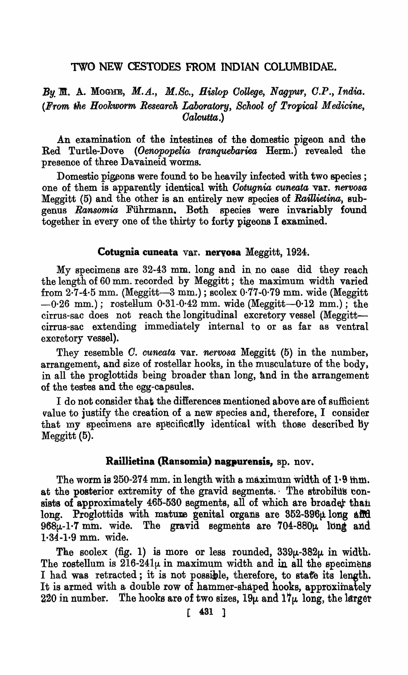## TWO NEW CESTODES FROM INDIAN COLUMBIDAE.

*By'* M. A. MOGlfE, *M.A., M.Sc., Hislop Oollege, N agpur, C.P* ., *India.*  (From the Hookworm Research Laboratory, School of Tropical Medicine, *Oalcutta.)* 

An examination of the intestines of the domestic pigeon and the Red Turtle-Dove *(Oenopopelia tranquebariea* Herm.) revealed the presence of three Davaineid worms.

Domestic pigeons were found to be heavily infected with two species; one of them is apparently identical with *Cotugnia cuneata* var. nervosa Meggitt (5) and the other is an entirely new species of *Raillietina,* 8ubgenus *Ransomia* Fiihrmann. Both species were invariably found together in every one of the thirty to forty pigeons I examined.

### Cotugnia cuneata var. neryosa Meggitt, 1924.

My specimens are  $32-43$  mm. long and in no case did they reach the length of 60 mm. recorded by Meggitt; the maximum width varied from  $2\cdot 7\cdot 4\cdot 5$  mm. (Meggitt-3 mm.); scolex  $0\cdot 77\cdot 0\cdot 79$  mm. wide (Meggitt  $-0.26$  mm.); rostellum  $0.31-0.42$  mm. wide (Meggitt- $-0.12$  mm.); the cirrus-sac does not reach the longitudinal excretory vessel (Meggittcirrus-sac extending immediately internal to or as far as ventral excretory vessel).

They resemble *C. cuneata* var. *nervosa* Meggitt (5) in the number, arrangement, and size of rostellar hooks, in the musculature of the body, in all the proglottids being broader than long, and in the arrangement of the testes and the egg~ca,psules.

I do not consider that the differences mentioned above are of sufficient value to justify the creation of a new species and, therefore, I consider that my specimens are specifically identical with those described by Meggitt (5).

#### Raillietina (Ransomia) nagpurensis, sp. nov.

The worm is  $250-274$  mm. in length with a maximum width of  $1.9$  mm. at the posterior extremity of the gravid segments." The strobilus consists of approximately  $465-530$  segments, all of which are broader than long. Proglottids with mature genital organs are  $352-396\mu$  long affect  $968\mu$ -1.7 mm. wide. The gravid segments are  $704-880\mu$  long and 1-34-1·9 mm. wide.

The scolex (fig. 1) is more or less rounded,  $339\mu - 382\mu$  in width. The rostellum is  $216-241\mu$  in maximum width and in all the specimens I had was retracted; it is not possible, therefore, to stafe its length. It is armed with a double row of hammer-shaped hooks, approximately 220 in number. The hooks are of two sizes,  $19\mu$  and  $17\mu$  long, the larger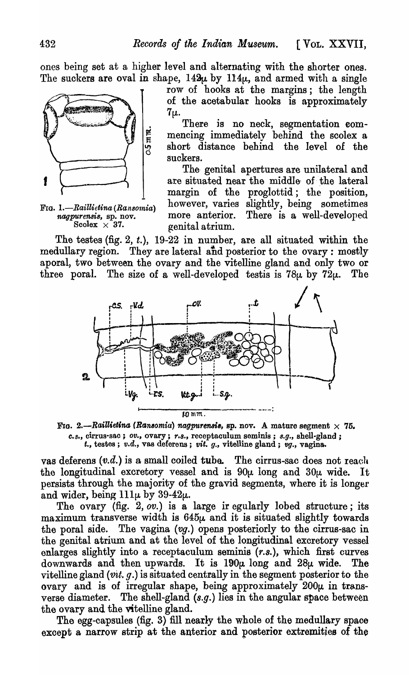ones being set at a higher level and alternating with the shorter ones. The suckers are oval in shape,  $142\mu$  by  $114\mu$ , and armed with a single



row of hooks at the margins; the length of the acetabular hooks is approximately  $7\mu$ .

There is no neck, segmentation com- $\frac{1}{5}$  mencing immediately behind the scolex a short distance behind the level of the short distance behind the level of the suckers.

The- genital apertures are unilateral and 1 are situated near the middle of the lateral margin of the proglottid; the position, FIG. 1.—Raillietina (Ransomia) however, varies slightly, being sometimes nagpurensis, sp. nov. more anterior. There is a well-developed *naturement*,  $\{x_n\}$ ,  $\{x_n\}$ ,  $\{x_n\}$ ,  $\{x_n\}$ ,  $\{x_n\}$ ,  $\{x_n\}$ ,  $\{x_n\}$ ,  $\{x_n\}$ ,  $\{x_n\}$ ,  $\{x_n\}$ ,  $\{x_n\}$ ,  $\{x_n\}$ ,  $\{x_n\}$ ,  $\{x_n\}$ ,  $\{x_n\}$ ,  $\{x_n\}$ ,  $\{x_n\}$ ,  $\{x_n\}$ ,  $\{x_n\}$ ,  $\{x_n\}$ ,  $\{x_n\}$ genital atrium.

The testes (fig. 2, t.),  $19-22$  in number, are all situated within the medullary region. They are lateral and posterior to the ovary: mostly aporal, two between the ovary and the vitelline gland and only two or three poral. The size of a well-developed test is  $78\mu$  by  $72\mu$ . The



FIG. 2.--Raillietina (Ransomia) nagpurensis, sp. nov. A mature segment  $\times$  75.  $c.s.,$  cirrus-sac;  $ov.,$  ovary;  $r.s.,$  receptaculum seminis;  $s.g.,$  shell-gland;  $t.$ , testes; *v.d.*, vas deferens; *vit. g.*, vitelline gland; *vg.*, vagina.

vas deferens  $(v.d.)$  is a small coiled tube. The cirrus-sac does not reach the longitudinal excretory vessel and is  $90\mu$  long and  $30\mu$  wide. It persists through the majority of the gravid segments, where it is longer and wider, being  $111\mu$  by 39-42 $\mu$ .

The ovary (fig.  $2, ov.$ ) is a large ir egularly lobed structure; its maximum transverse width is  $645\mu$  and it is situated slightly towards the poral side. The vagina (vg.) opens posteriorly to the cirrus-sac in the genital atrium and at the level of the longitudinal excretory vessel enlarges slightly into a receptaculum seminis *(r.s.),* which first curves downwards and then upwards. It is  $190\mu$  long and  $28\mu$  wide. The vitelline gland *(vit.* g.) is situated centrally in the segment posterior to the ovary and is of irregular shape, being approximately  $200\mu$  in transverse diameter. The shell-gland (s.g.) lies in the angular space between the ovary and the vitelline gland.

The egg-capsules (fig. 3) fill nearly the whole of the medullary space except a narrow strip at the anterior and posterior extremities of the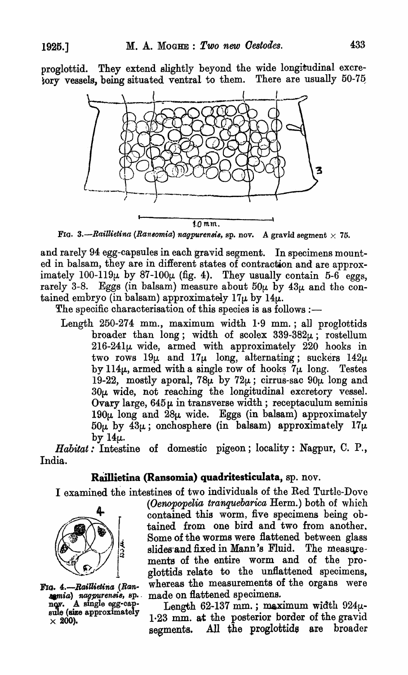proglottid. They extend slightly beyond the wide longitudinal excre-  $\overline{\text{fory}}$  vessels, being situated ventral to them. There are usually 50-75.



FIG. 3.--Raillietina (Ransomia) nagpurensis, sp. nov. A gravid segment  $\times$  75.

and rarely 94 egg-capsules in each gravid segment. In specimens mounted in balsam, they are in different states of contraction and are approximately 100-119 $\mu$  by 87-100 $\mu$  (fig. 4). They usually contain 5-6 eggs, rarely 3-8. Eggs (in balsam) measure about  $50\mu$  by  $43\mu$  and the contained embryo (in balsam) approximately  $17\mu$  by  $14\mu$ .

The specific characterisation of this species is as follows :-

Length 250-274 mm., maximum width 1·9 mm.; all proglottids broader than long; width of scolex  $339-382\mu$ ; rostellum  $216-241\mu$  wide, armed with approximately  $220$  hooks in two rows  $19\mu$  and  $17\mu$  long, alternating; suckers  $142\mu$ by  $114\mu$ , armed with a single row of hooks  $7\mu$  long. Testes 19-22, mostly aporal, 78 $\mu$  by 72 $\mu$ ; cirrus-sac 90 $\mu$  long and  $30\mu$  wide, not reaching the longitudinal excretory vessel. Ovary large,  $645\mu$  in transverse width; receptaculum seminis  $190\mu$  long and  $28\mu$  wide. Eggs (in balsam) approximately  $50\mu$  by  $43\mu$ ; onchosphere (in balsam) approximately  $17\mu$ . by  $14\mu$ .

*Habitat:* Intestine of domestic pigeon; locality: Nagpur, C. P., India.

# **R8illietina (Ransomia) quadritesticulata,** sp. nov.

I examined the intestines of two individuals of the Red Turtle-Dove



FIG. 4.-Raillietina (Ranremia) nagpurensis, sp. nov. A single egg-capsule (size approximately  $\times$  200).

(Oenopopelia tranquebarica Herm.) both of which contained this worm, five specimens being obtained from one bird and two from another. Some of the worms were flattened between glass slides and fixed in Mann's Fluid. The measurements of the entire worm and of the proglottids relate to the unflattened specimens, whereas the measurements of the organs were made on flattened specimens.

Length 62-137 mm.; maximum width  $924\mu$ -1.23 mm. at the posterior border of the gravid segments. All the proglottide are broader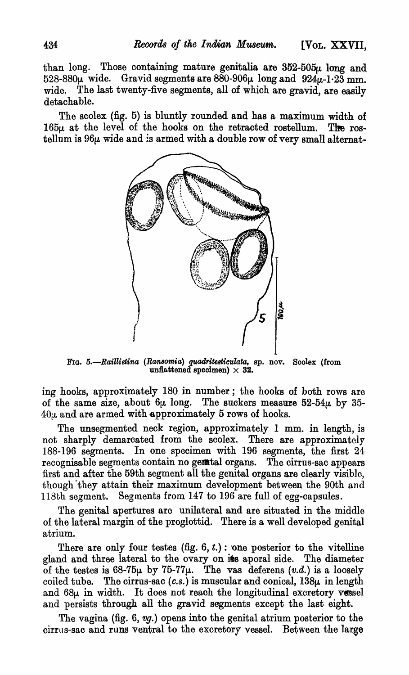than long. Those containing mature genitalia are  $352-505\mu$  long and  $528-880\mu$  wide. Gravid segments are  $880-906\mu$  long and  $924\mu-1.23$  mm. wide. The last twenty-five segments, all of whioh are gravid, are easily detachable.

The scolex (fig. 5) is bluntly rounded and has a maximum width of  $165\mu$  at the level of the hooks on the retracted rostellum. The rostellum is  $96\mu$  wide and is armed with a double row of very small alternat-



FIG. 5.-Raillietina (Ransomia) quadritesticulata, sp. nov. Scolex (from unflattened specimen)  $\times$  32.

ing hooks, approximately 180 in number; the hooks of both rows are of the same size, about  $6\mu$  long. The suckers measure  $52-54\mu$  by 35- $40\mu$  and are armed with approximately 5 rows of hooks.

The unsegmented neck region, approximately 1 mm. in length, is not sharply demarcated from the scolex. There are approximately 188-196 segments. In one specimen with 196 segments, the first 24 recognisable segments contain no genetal organs. The cirrus-sac appears first and after the 59th segment all the genital organs are olearly visible, though·they attain their maximum development between the 90th and 118th segment. Segments from  $147$  to 196 are full of egg-capsules.

The genital apertures are unilateral and are situated in the middle of the lateral margin of the proglottid. There is a well developed genital atrium.

There are only four testes (fig.  $6, t$ .) : one posterior to the vitelline gland and three lateral to the ovary on its aporal side. The diameter of the testes is  $68-75\mu$  by  $75-77\mu$ . The vas deferens  $(v.d.)$  is a loosely coiled tube. The cirrus-sac  $(c.s.)$  is muscular and conical,  $138\mu$  in length and  $68\mu$  in width. It does not reach the longitudinal excretory vessel and persists through all the gravid segments except the last eight.

The vagina (fig. 6, vg.) opens into the genital atrium posterior to the cirrus-sac and runs ventral to the excretory vessel. Between the large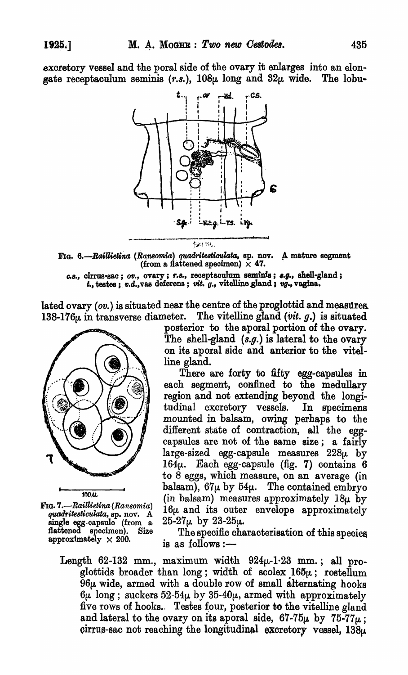excretory vessel and the poral side of the ovary it enlarges into an elongate receptaculum seminis (r.s.),  $108\mu$  long and  $32\mu$  wide. The lobu-



FIG. 6.-Raillietina *(Ransomia) quadritesticulata*, sp. nov. A mature segment (from a flattened specimen)  $\times$  47.

*e.8.,* cirrus-sao; *OV.,* ovary; r.8.,. reoeptaoulum seminfs; *s.g.,* shell-gland; *t.*, testes; *v.d.*, vas deferens; *vit. g.*, vitelline gland; *vg.*, vagina.

lated ovary  $(ov.)$  is situated near the centre of the proglottid and measurea 138-176 $\mu$  in transverse diameter. The vitelline gland *(vit. g.)* is situated



FIG. *7.-RailUelina (Ransomia) (!fNM!.'I'ite8timilata,* sp. nov. A single egg-capsule (from a flattened specimen). Size approximately  $\times 200$ .

posterior to the aporal portion of the ovary. The shell-gland  $(s.g.)$  is lateral to the ovary on its sporal side and anterior to the vitelline gland.

There are forty to fifty egg-capsules in each segment, confined to the medullary region and not extending beyond the longitudina!excretory vessels. In specimens mounted in balsam, owing perhaps to the different state of contraction, all the eggcapsules are not of the same size; a fairly  $large-sized$  egg-capsule measures  $228\mu$  by 164 $\mu$ . Each egg-capsule (fig. 7) contains 6 to 8 eggs, which measure, on an average (in balsam),  $67\mu$  by  $54\mu$ . The contained embryo (in balsam) measures approximately  $18\mu$  by 16 $\mu$  and its outer envelope approximately  $25-27\mu$  by  $23-25\mu$ .

The specific characterisation of this speoies is as follows: $-$ 

Length 62-132 mm., maximum width  $924\mu$ -1.23 mm.; all proglottids broader than long; width of scolex  $165\mu$ ; rostellum  $96\mu$  wide, armed with a double row of small alternating hooks  $6\mu$  long; suckers 52-54 $\mu$  by 35-40 $\mu$ , armed with approximately five rows of hooks. Testes four, posterior to the vitelline gland and lateral to the ovary on its aporal side,  $67-75\mu$  by  $75-77\mu$ ; cirrus-sac not reaching the longitudinal excretory vessel,  $138\mu$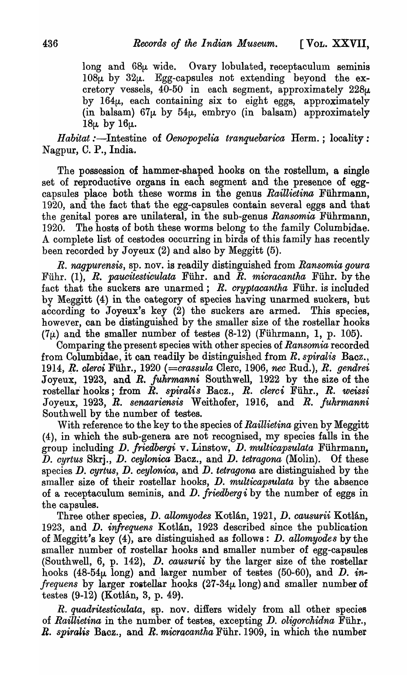long and 68 $\mu$  wide. Ovary lobulated, receptaculum seminis  $108\mu$  by  $32\mu$ . Egg-capsules not extending beyond the excretory vessels,  $40-50$  in each segment, approximately  $228\mu$ . by  $164\mu$ , each containing six to eight eggs, approximately (in balsam)  $67\mu$  by  $54\mu$ , embryo (in balsam) approximately  $18\mu$  by  $16\mu$ .

*Habitat* :- Intestine of *Oenopopelia tranquebarica* Herm.; locality: Nagpur, C. P., India.

The possession of hammer-shaped hooks on the rostellum, a single set of reproductive organs in each segment and the presence of eggcapsules place both these worms in the genus *Raillietina* Führmann, 1920, and the fact that the egg-capsules contain several eggs and that the genital pores are unilateral, in the sub-genus *Ransomia* Führmann, 1920. The hosts of both these worms belong to the family Columbidae. A complete list of cestodes occurring in birds of this family has recently been recorded by Joyeux  $(2)$  and also by Meggitt  $(5)$ .

*R. nagpurensis,* sp. nov. is readily distinguished from *Ransomia goura*  Fiihr. (1), *R. paueitesticulata* Fiihr. and *R. mieracantka* Fiihr. by the fact that the suckers are unarmed; *R. eryptacantka* Fiihr. is included b¥ Meggitt (4) in the category of species having unarmed suckers, but according to Joyeux's key (2) the suckers are armed. This species, however, can be distinguished by the smaller size of the rostellar hooks  $(7\mu)$  and the smaller number of testes  $(8-12)$  (Führmann, 1, p. 105).

Comparing the present species with other species of *Ransomia* recorded from Columbidae, it can readily be distinguished from *R. spiralis* Bacz., 1914, Q,. *clerci* Fiihr., 1920 *(=erassula* Clerc, 1906, *nee* Rud.), *R. gendrei*  Joyeux, 1923, and *R. fuhrmanni* Southwell, 1922 by the size of the rostellar hooks; from  $R$ . spiralis Bacz.,  $R$ . clerci Führ.,  $R$ . weissi Joyeux, 1923, *R. senaariensis* Weithofer, 1916, and *R. fuhrmanni*  Southwell by the number of testes.

With reference to the key to the species of *Raillietina* given by Meggitt (4), in which the sub-genera are not recognised, my species falls in the group including D. friedbergi v. Linstow, D. multicapsulata Führmann, D. *eyrtus* Skrj., D. *ceylonica* Bacz., and D. *tetragona* (Molin). Of these species D. *cyrtus,* D. *ceylonica,* and D. *tetragona* are distinguished by the smaller size of their rostellar hooks, *D. multicapsulata* by the absence of a receptaculum seminis, and D. *friedbergi* by the number of eggs in the capsules.

Three other species, D. *allomyodes* Kotlan, 1921, D. *causurii* Kotlan, 1923, and D. *infrequens* Kotlan, 1923 described since the publication of Meggitt's key (4), are distinguished as follows: D. *allomyodes* by the smaller number of rostellar hooks and smaller number of egg-capsules (Southwell, 6, p. 142), D. *causurii* by the larger size of the rostellar hooks  $(48-54\mu \overline{$ long) and larger number of testes  $(50-60)$ , and D. *infrequens* by larger rostellar hooks  $(27-34\mu \text{ long})$  and smaller number of testes (9-12) (Kotlan, 3, p. 49}.

*R. quadritesticulata,* sp. nov. differs widely from all other species of *Raillietina* in the number of testes, excepting D. *oligorehidna* Fiihr., *R. spiralis* Bacz., and *R. micracantha* Fiihr. 1909, in which the number